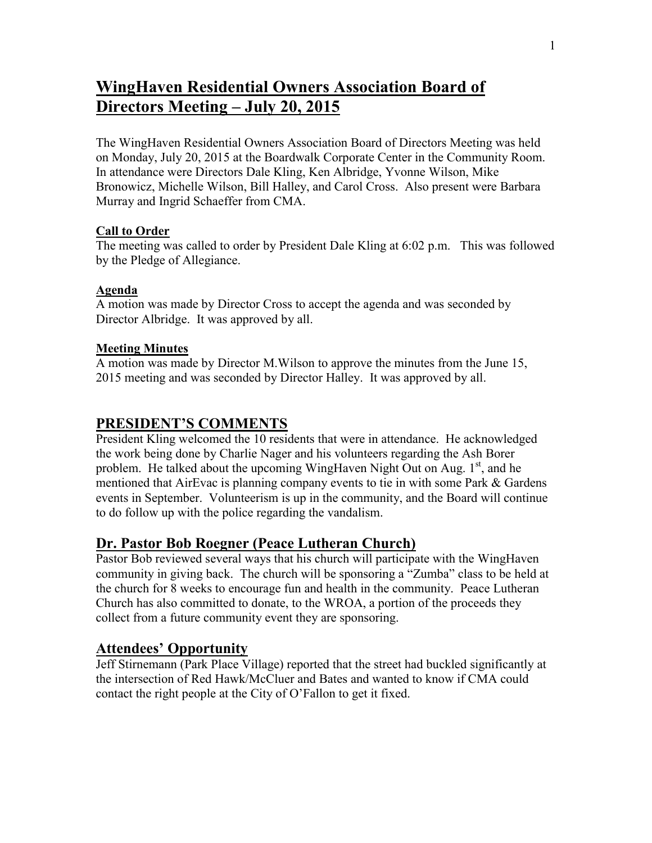# **WingHaven Residential Owners Association Board of Directors Meeting – July 20, 2015**

The WingHaven Residential Owners Association Board of Directors Meeting was held on Monday, July 20, 2015 at the Boardwalk Corporate Center in the Community Room. In attendance were Directors Dale Kling, Ken Albridge, Yvonne Wilson, Mike Bronowicz, Michelle Wilson, Bill Halley, and Carol Cross. Also present were Barbara Murray and Ingrid Schaeffer from CMA.

#### **Call to Order**

The meeting was called to order by President Dale Kling at 6:02 p.m. This was followed by the Pledge of Allegiance.

#### **Agenda**

A motion was made by Director Cross to accept the agenda and was seconded by Director Albridge. It was approved by all.

#### **Meeting Minutes**

A motion was made by Director M.Wilson to approve the minutes from the June 15, 2015 meeting and was seconded by Director Halley. It was approved by all.

## **PRESIDENT'S COMMENTS**

President Kling welcomed the 10 residents that were in attendance. He acknowledged the work being done by Charlie Nager and his volunteers regarding the Ash Borer problem. He talked about the upcoming WingHaven Night Out on Aug.  $1<sup>st</sup>$ , and he mentioned that AirEvac is planning company events to tie in with some Park & Gardens events in September. Volunteerism is up in the community, and the Board will continue to do follow up with the police regarding the vandalism.

## **Dr. Pastor Bob Roegner (Peace Lutheran Church)**

Pastor Bob reviewed several ways that his church will participate with the WingHaven community in giving back. The church will be sponsoring a "Zumba" class to be held at the church for 8 weeks to encourage fun and health in the community. Peace Lutheran Church has also committed to donate, to the WROA, a portion of the proceeds they collect from a future community event they are sponsoring.

## **Attendees' Opportunity**

Jeff Stirnemann (Park Place Village) reported that the street had buckled significantly at the intersection of Red Hawk/McCluer and Bates and wanted to know if CMA could contact the right people at the City of O'Fallon to get it fixed.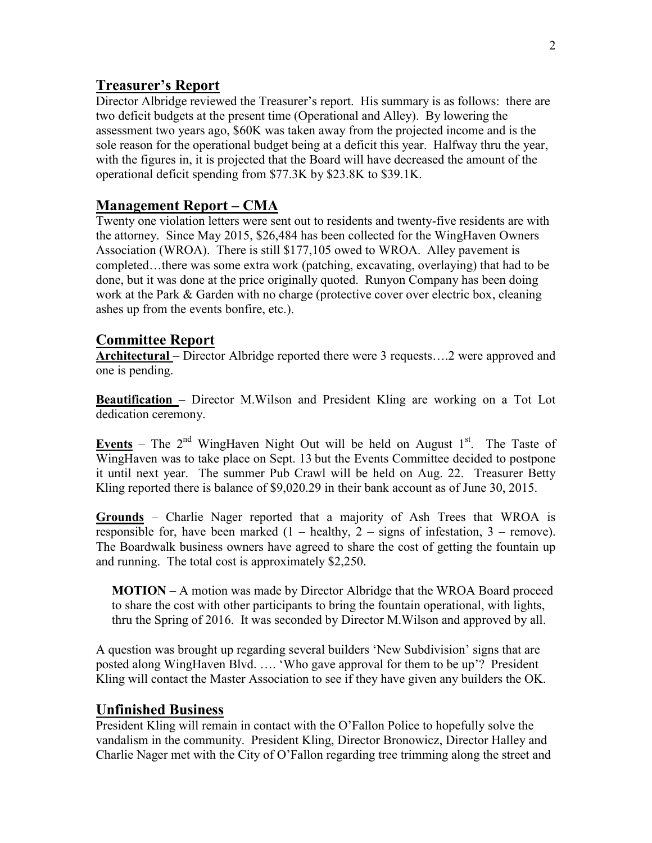#### **Treasurer's Report**

Director Albridge reviewed the Treasurer's report. His summary is as follows: there are two deficit budgets at the present time (Operational and Alley). By lowering the assessment two years ago, \$60K was taken away from the projected income and is the sole reason for the operational budget being at a deficit this year. Halfway thru the year, with the figures in, it is projected that the Board will have decreased the amount of the operational deficit spending from \$77.3K by \$23.8K to \$39.1K.

### **Management Report – CMA**

Twenty one violation letters were sent out to residents and twenty-five residents are with the attorney. Since May 2015, \$26,484 has been collected for the WingHaven Owners Association (WROA). There is still \$177,105 owed to WROA. Alley pavement is completed…there was some extra work (patching, excavating, overlaying) that had to be done, but it was done at the price originally quoted. Runyon Company has been doing work at the Park & Garden with no charge (protective cover over electric box, cleaning ashes up from the events bonfire, etc.).

#### **Committee Report**

**Architectural** – Director Albridge reported there were 3 requests….2 were approved and one is pending.

**Beautification** – Director M.Wilson and President Kling are working on a Tot Lot dedication ceremony.

**Events** – The  $2<sup>nd</sup>$  WingHaven Night Out will be held on August  $1<sup>st</sup>$ . The Taste of WingHaven was to take place on Sept. 13 but the Events Committee decided to postpone it until next year. The summer Pub Crawl will be held on Aug. 22. Treasurer Betty Kling reported there is balance of \$9,020.29 in their bank account as of June 30, 2015.

**Grounds** – Charlie Nager reported that a majority of Ash Trees that WROA is responsible for, have been marked  $(1 - \text{ healthy}, 2 - \text{signs of}$  infestation,  $3 - \text{remove}$ ). The Boardwalk business owners have agreed to share the cost of getting the fountain up and running. The total cost is approximately \$2,250.

 **MOTION** – A motion was made by Director Albridge that the WROA Board proceed to share the cost with other participants to bring the fountain operational, with lights, thru the Spring of 2016. It was seconded by Director M.Wilson and approved by all.

A question was brought up regarding several builders 'New Subdivision' signs that are posted along WingHaven Blvd. …. 'Who gave approval for them to be up'? President Kling will contact the Master Association to see if they have given any builders the OK.

#### **Unfinished Business**

President Kling will remain in contact with the O'Fallon Police to hopefully solve the vandalism in the community. President Kling, Director Bronowicz, Director Halley and Charlie Nager met with the City of O'Fallon regarding tree trimming along the street and